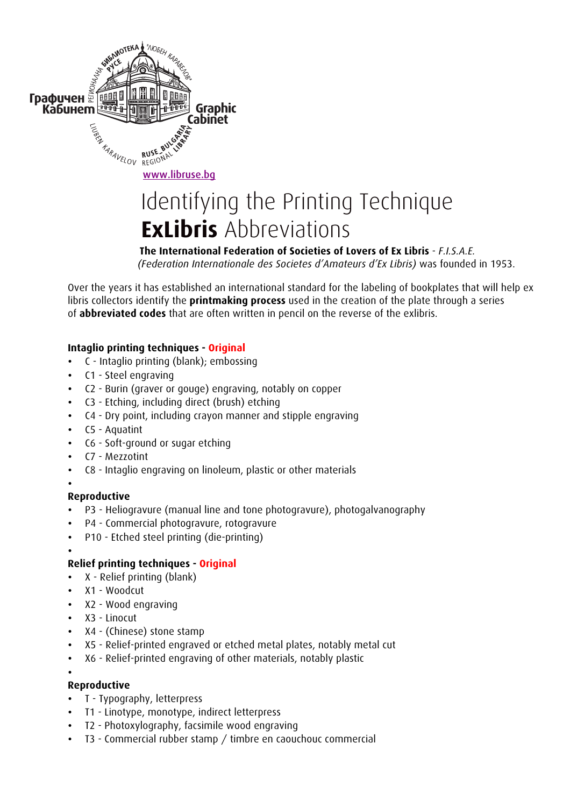

# Identifying the Printing Technique  **ExLibris** Abbreviations

## **The International Federation of Societies of Lovers of Ex Libris** - *F.I.S.A.E.*

 *(Federation Internationale des Societes d'Amateurs d'Ex Libris)* was founded in 1953.

Over the years it has established an international standard for the labeling of bookplates that will help ex libris collectors identify the **printmaking process** used in the creation of the plate through a series of **abbreviated codes** that are often written in pencil on the reverse of the exlibris.

#### **Intaglio printing techniques - Original**

- C Intaglio printing (blank); embossing
- C1 Steel engraving
- C2 Burin (graver or gouge) engraving, notably on copper
- C3 Etching, including direct (brush) etching
- C4 Dry point, including crayon manner and stipple engraving
- C5 Aquatint
- C6 Soft-ground or sugar etching
- C7 Mezzotint
- C8 Intaglio engraving on linoleum, plastic or other materials
- •

### **Reproductive**

- P3 Heliogravure (manual line and tone photogravure), photogalvanography
- P4 Commercial photogravure, rotogravure
- P10 Etched steel printing (die-printing)
- •

### **Relief printing techniques - Original**

- X Relief printing (blank)
- X1 Woodcut
- X2 Wood engraving
- X3 Linocut
- X4 (Chinese) stone stamp
- X5 Relief-printed engraved or etched metal plates, notably metal cut
- X6 Relief-printed engraving of other materials, notably plastic

#### • **Reproductive**

- T Typography, letterpress
- T1 Linotype, monotype, indirect letterpress
- T2 Photoxylography, facsimile wood engraving
- T3 Commercial rubber stamp / timbre en caouchouc commercial